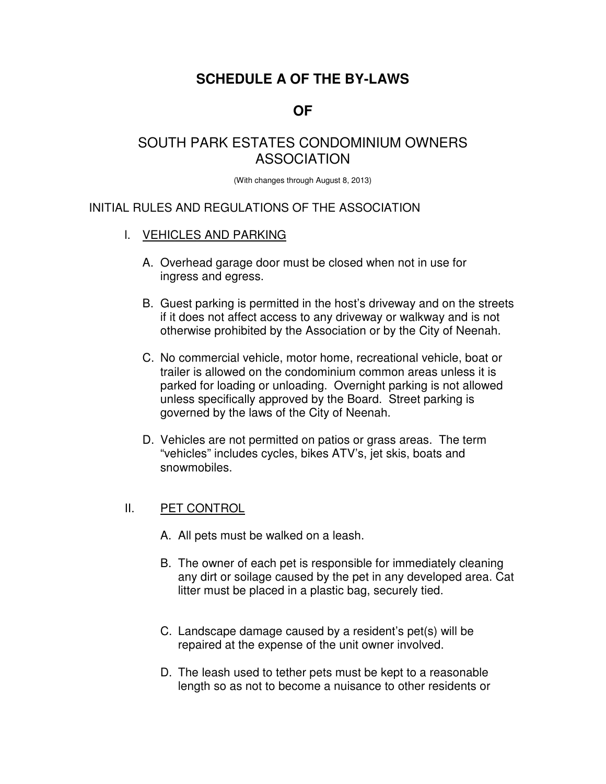# **SCHEDULE A OF THE BY-LAWS**

## **OF**

## SOUTH PARK ESTATES CONDOMINIUM OWNERS ASSOCIATION

(With changes through August 8, 2013)

## INITIAL RULES AND REGULATIONS OF THE ASSOCIATION

#### l. VEHICLES AND PARKING

- A. Overhead garage door must be closed when not in use for ingress and egress.
- B. Guest parking is permitted in the host's driveway and on the streets if it does not affect access to any driveway or walkway and is not otherwise prohibited by the Association or by the City of Neenah.
- C. No commercial vehicle, motor home, recreational vehicle, boat or trailer is allowed on the condominium common areas unless it is parked for loading or unloading. Overnight parking is not allowed unless specifically approved by the Board. Street parking is governed by the laws of the City of Neenah.
- D. Vehicles are not permitted on patios or grass areas. The term "vehicles" includes cycles, bikes ATV's, jet skis, boats and snowmobiles.

## II. PET CONTROL

- A. All pets must be walked on a leash.
- B. The owner of each pet is responsible for immediately cleaning any dirt or soilage caused by the pet in any developed area. Cat litter must be placed in a plastic bag, securely tied.
- C. Landscape damage caused by a resident's pet(s) will be repaired at the expense of the unit owner involved.
- D. The leash used to tether pets must be kept to a reasonable length so as not to become a nuisance to other residents or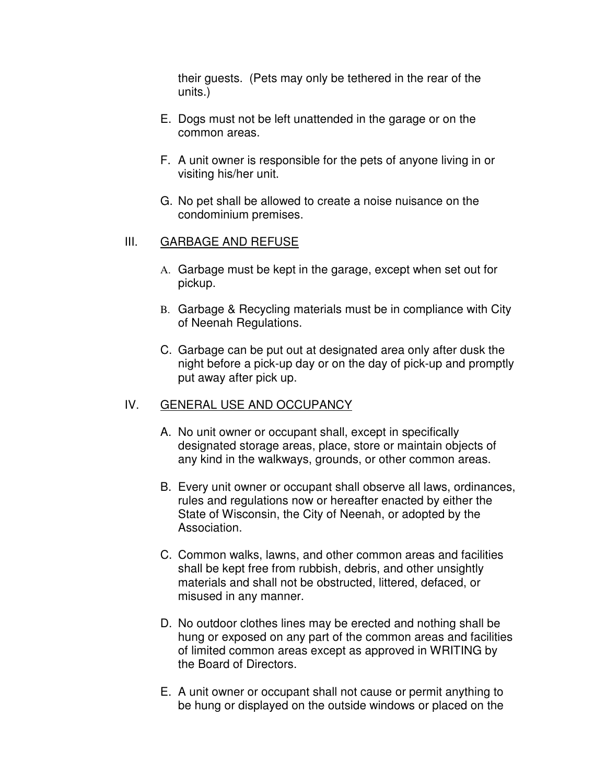their guests. (Pets may only be tethered in the rear of the units.)

- E. Dogs must not be left unattended in the garage or on the common areas.
- F. A unit owner is responsible for the pets of anyone living in or visiting his/her unit.
- G. No pet shall be allowed to create a noise nuisance on the condominium premises.

## III. GARBAGE AND REFUSE

- A. Garbage must be kept in the garage, except when set out for pickup.
- B. Garbage & Recycling materials must be in compliance with City of Neenah Regulations.
- C. Garbage can be put out at designated area only after dusk the night before a pick-up day or on the day of pick-up and promptly put away after pick up.

## IV. GENERAL USE AND OCCUPANCY

- A. No unit owner or occupant shall, except in specifically designated storage areas, place, store or maintain objects of any kind in the walkways, grounds, or other common areas.
- B. Every unit owner or occupant shall observe all laws, ordinances, rules and regulations now or hereafter enacted by either the State of Wisconsin, the City of Neenah, or adopted by the Association.
- C. Common walks, lawns, and other common areas and facilities shall be kept free from rubbish, debris, and other unsightly materials and shall not be obstructed, littered, defaced, or misused in any manner.
- D. No outdoor clothes lines may be erected and nothing shall be hung or exposed on any part of the common areas and facilities of limited common areas except as approved in WRITING by the Board of Directors.
- E. A unit owner or occupant shall not cause or permit anything to be hung or displayed on the outside windows or placed on the